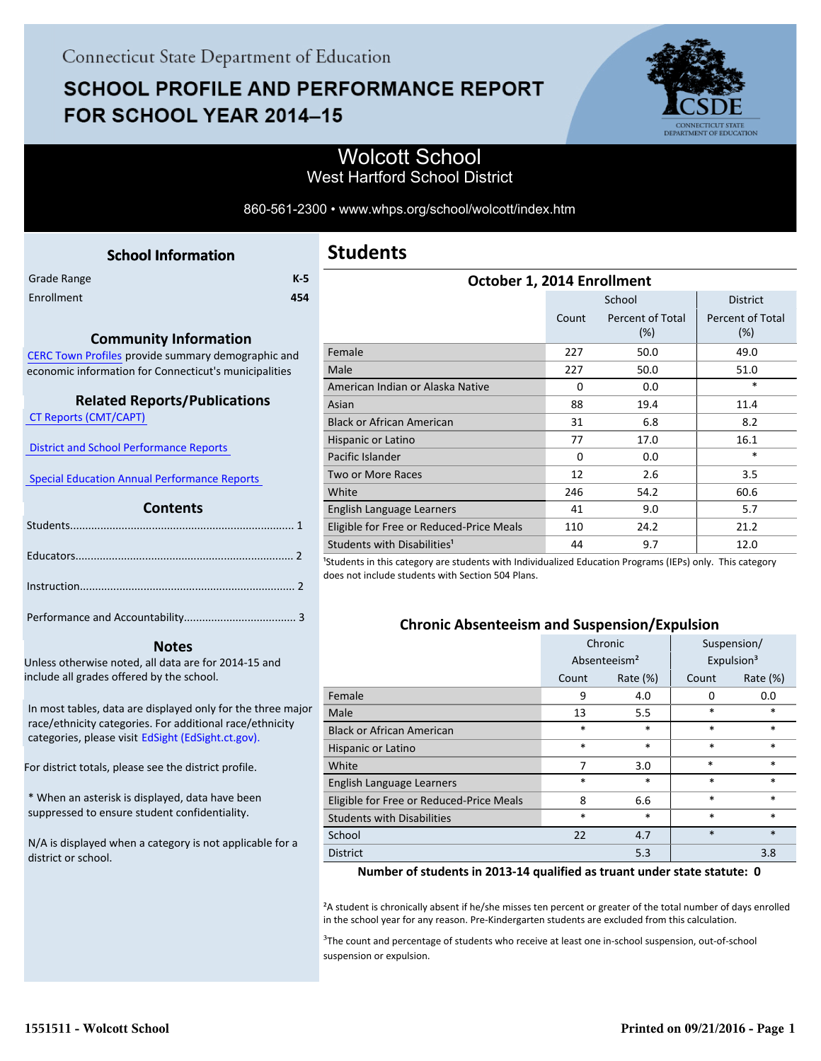# **SCHOOL PROFILE AND PERFORMANCE REPORT** FOR SCHOOL YEAR 2014-15



## Wolcott School West Hartford School District

860-561-2300 • www.whps.org/school/wolcott/index.htm

<span id="page-0-0"></span>

| <b>School Information</b> |       |
|---------------------------|-------|
|                           | $K-5$ |
|                           | 454   |
|                           |       |

#### **Community Information**

[CERC Town Profiles provide summary demographic and](http://www.cerc.com/townprofiles/) economic information for Connecticut's municipalities

### **Related Reports/Publications**

 [CT Reports \(CMT/CAPT\)](http://ctreports.com/) 

 [District and School Performance Reports](http://www.csde.state.ct.us/public/performancereports/reports.asp) 

 [Special Education Annual Performance Reports](http://edsight.ct.gov/SASPortal/main.do) 

#### **Contents**

 **Notes**

Unless otherwise noted, all data are for 2014-15 and include all grades offered by the school.

[In most tables, data are displayed only for the three major](http://edsight.ct.gov) race/ethnicity categories. For additional race/ethnicity categories, please visit EdSight (EdSight.ct.gov).

For district totals, please see the district profile.

\* When an asterisk is displayed, data have been suppressed to ensure student confidentiality.

N/A is displayed when a category is not applicable for a district or school.

| October 1, 2014 Enrollment               |       |                         |                                |  |  |
|------------------------------------------|-------|-------------------------|--------------------------------|--|--|
|                                          |       | School                  | <b>District</b>                |  |  |
|                                          | Count | Percent of Total<br>(%) | <b>Percent of Total</b><br>(%) |  |  |
| Female                                   | 227   | 50.0                    | 49.0                           |  |  |
| Male                                     | 227   | 50.0                    | 51.0                           |  |  |
| American Indian or Alaska Native         | 0     | 0.0                     | *                              |  |  |
| Asian                                    | 88    | 19.4                    | 11.4                           |  |  |
| <b>Black or African American</b>         | 31    | 6.8                     | 8.2                            |  |  |
| Hispanic or Latino                       | 77    | 17.0                    | 16.1                           |  |  |
| Pacific Islander                         | 0     | 0.0                     | $\ast$                         |  |  |
| Two or More Races                        | 12    | 2.6                     | 3.5                            |  |  |
| White                                    | 246   | 54.2                    | 60.6                           |  |  |
| English Language Learners                | 41    | 9.0                     | 5.7                            |  |  |
| Eligible for Free or Reduced-Price Meals | 110   | 24.2                    | 21.2                           |  |  |
| Students with Disabilities <sup>1</sup>  | 44    | 9.7                     | 12.0                           |  |  |

<sup>1</sup>Students in this category are students with Individualized Education Programs (IEPs) only. This category does not include students with Section 504 Plans.

#### **Chronic Absenteeism and Suspension/Expulsion**

|                                          | Chronic                  |             | Suspension/ |                        |
|------------------------------------------|--------------------------|-------------|-------------|------------------------|
|                                          | Absenteeism <sup>2</sup> |             |             | Expulsion <sup>3</sup> |
|                                          | Count                    | Rate $(\%)$ | Count       | Rate (%)               |
| Female                                   | 9                        | 4.0         | 0           | 0.0                    |
| Male                                     | 13                       | 5.5         | $\ast$      | *                      |
| <b>Black or African American</b>         | *                        | *           | $\ast$      | *                      |
| Hispanic or Latino                       | *<br>$\ast$              |             | *           | *                      |
| White                                    | 7                        | 3.0         | $\ast$      | *                      |
| English Language Learners                | *                        | $\ast$      | *           | *                      |
| Eligible for Free or Reduced-Price Meals | 8                        | 6.6         | $\ast$      | $\ast$                 |
| <b>Students with Disabilities</b>        | *<br>$\ast$              |             | *           | *                      |
| School                                   | 22                       | 4.7         | $\ast$      | $\ast$                 |
| <b>District</b>                          |                          | 5.3         |             | 3.8                    |

**Number of students in 2013-14 qualified as truant under state statute: 0**

²A student is chronically absent if he/she misses ten percent or greater of the total number of days enrolled in the school year for any reason. Pre-Kindergarten students are excluded from this calculation.

<sup>3</sup>The count and percentage of students who receive at least one in-school suspension, out-of-school suspension or expulsion.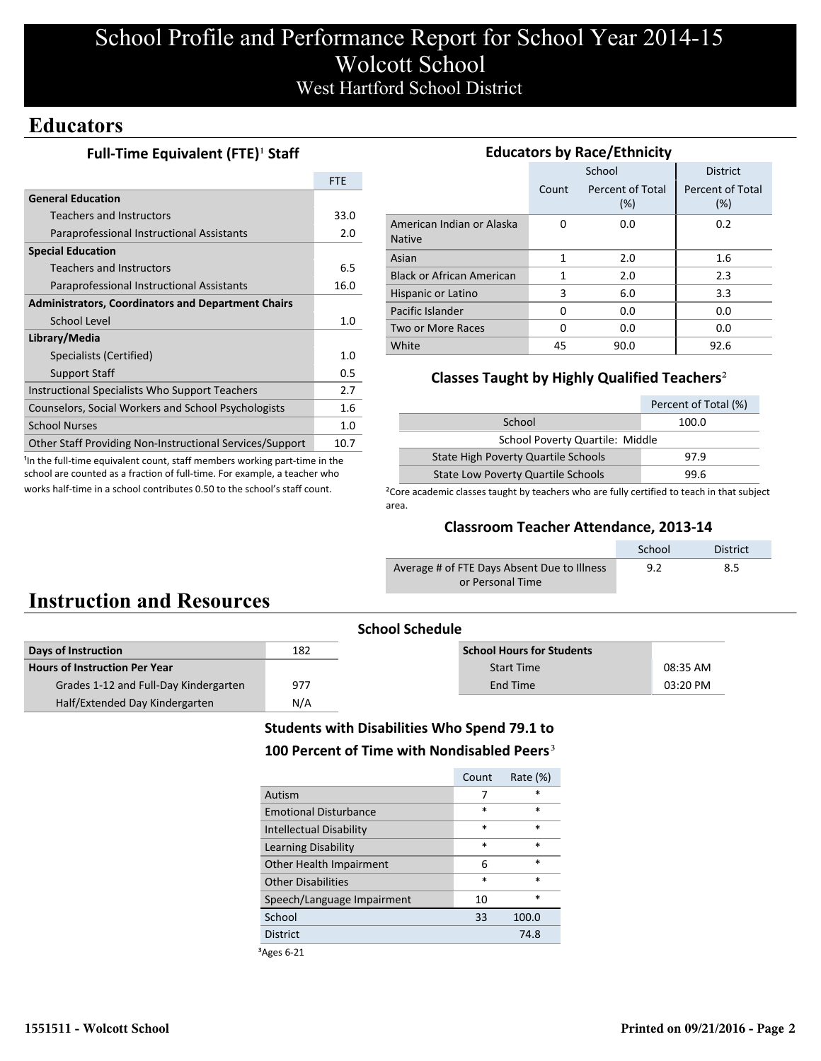# School Profile and Performance Report for School Year 2014-15 Wolcott School West Hartford School District

## **Educators**

### **Full-Time Equivalent (FTE)<sup>1</sup> Staff**

|                                                           | <b>FTE</b> |
|-----------------------------------------------------------|------------|
| <b>General Education</b>                                  |            |
| <b>Teachers and Instructors</b>                           | 33.0       |
| Paraprofessional Instructional Assistants                 | 2.0        |
| <b>Special Education</b>                                  |            |
| Teachers and Instructors                                  | 6.5        |
| Paraprofessional Instructional Assistants                 | 16.0       |
| <b>Administrators, Coordinators and Department Chairs</b> |            |
| School Level                                              | 1.0        |
| Library/Media                                             |            |
| Specialists (Certified)                                   | 1.0        |
| <b>Support Staff</b>                                      | 0.5        |
| Instructional Specialists Who Support Teachers            | 2.7        |
| Counselors, Social Workers and School Psychologists       | 1.6        |
| <b>School Nurses</b>                                      | 1.0        |
| Other Staff Providing Non-Instructional Services/Support  | 10.7       |

<sup>1</sup>In the full-time equivalent count, staff members working part-time in the school are counted as a fraction of full-time. For example, a teacher who works half-time in a school contributes 0.50 to the school's staff count.

| <b>Educators by Race/Ethnicity</b>         |       |                         |                         |  |  |  |
|--------------------------------------------|-------|-------------------------|-------------------------|--|--|--|
|                                            |       | School                  | <b>District</b>         |  |  |  |
|                                            | Count | Percent of Total<br>(%) | Percent of Total<br>(%) |  |  |  |
| American Indian or Alaska<br><b>Native</b> | O     | 0.0                     | 0.2                     |  |  |  |
| Asian                                      | 1     | 2.0                     | 1.6                     |  |  |  |
| <b>Black or African American</b>           | 1     | 2.0                     | 2.3                     |  |  |  |
| Hispanic or Latino                         | 3     | 6.0                     | 3.3                     |  |  |  |
| Pacific Islander                           | 0     | 0.0                     | 0.0                     |  |  |  |
| Two or More Races                          | O     | 0.0                     | 0.0                     |  |  |  |
| White                                      | 45    | 90.0                    | 92.6                    |  |  |  |

### **Classes Taught by Highly Qualified Teachers**²

|                                            | Percent of Total (%) |  |  |  |
|--------------------------------------------|----------------------|--|--|--|
| School                                     | 100.0                |  |  |  |
| School Poverty Quartile: Middle            |                      |  |  |  |
| <b>State High Poverty Quartile Schools</b> | 97.9                 |  |  |  |
| <b>State Low Poverty Quartile Schools</b>  | 99 R                 |  |  |  |

<sup>2</sup>Core academic classes taught by teachers who are fully certified to teach in that subject area.

### **Classroom Teacher Attendance, 2013-14**

|                                             | School | <b>District</b> |
|---------------------------------------------|--------|-----------------|
| Average # of FTE Days Absent Due to Illness | 9.2    | 8.5             |
| or Personal Time                            |        |                 |

# **Instruction and Resources**

| <b>School Schedule</b>                |     |                                  |          |
|---------------------------------------|-----|----------------------------------|----------|
| Days of Instruction                   | 182 | <b>School Hours for Students</b> |          |
| <b>Hours of Instruction Per Year</b>  |     | <b>Start Time</b>                | 08:35 AM |
| Grades 1-12 and Full-Day Kindergarten | 977 | End Time                         | 03:20 PM |
| Half/Extended Day Kindergarten        | N/A |                                  |          |

### **Students with Disabilities Who Spend 79.1 to** 100 Percent of Time with Nondisabled Peers<sup>3</sup>

|                                | Count  | Rate $(\%)$ |
|--------------------------------|--------|-------------|
| Autism                         | 7      | $\ast$      |
| <b>Emotional Disturbance</b>   | $\ast$ | $\ast$      |
| <b>Intellectual Disability</b> | $\ast$ | $\ast$      |
| Learning Disability            | $\ast$ | $\ast$      |
| Other Health Impairment        | 6      | $\ast$      |
| <b>Other Disabilities</b>      | $\ast$ | $\ast$      |
| Speech/Language Impairment     | 10     | $\ast$      |
| School                         | 33     | 100.0       |
| <b>District</b>                |        | 74.8        |
|                                |        |             |

³Ages 6-21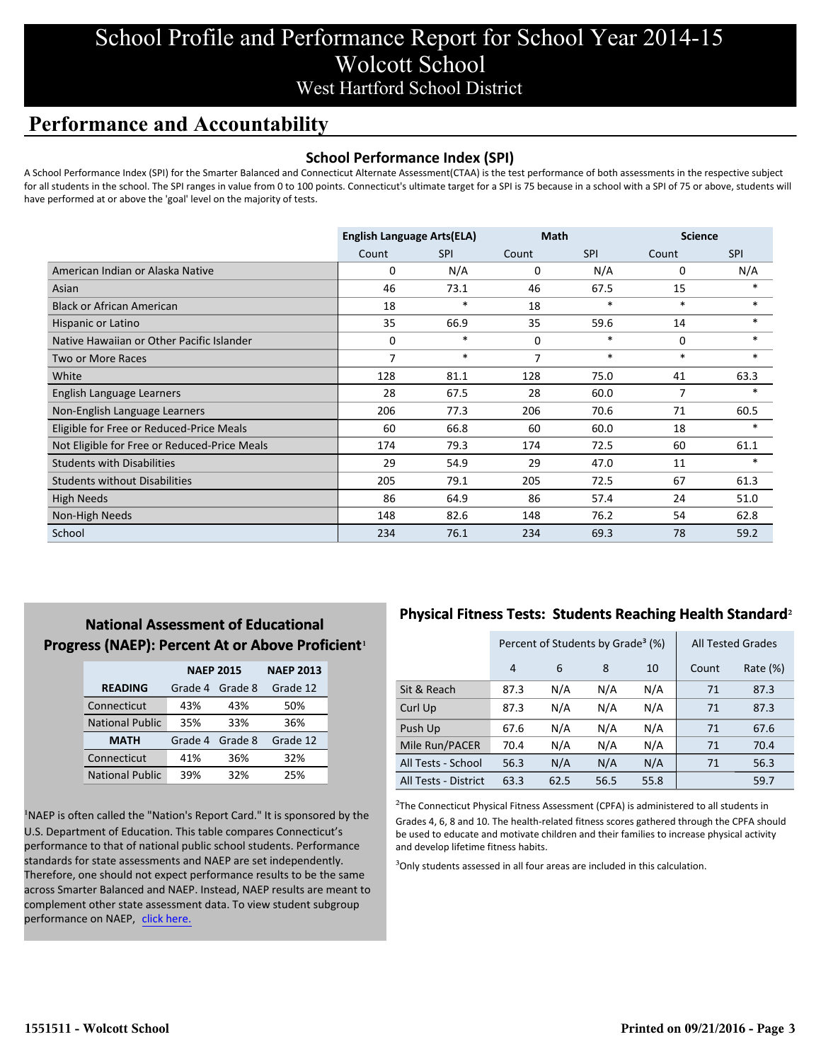# School Profile and Performance Report for School Year 2014-15 Wolcott School West Hartford School District

## **Performance and Accountability**

### **School Performance Index (SPI)**

A School Performance Index (SPI) for the Smarter Balanced and Connecticut Alternate Assessment(CTAA) is the test performance of both assessments in the respective subject for all students in the school. The SPI ranges in value from 0 to 100 points. Connecticut's ultimate target for a SPI is 75 because in a school with a SPI of 75 or above, students will have performed at or above the 'goal' level on the majority of tests.

|                                              | <b>English Language Arts(ELA)</b> |            | <b>Math</b> |            | <b>Science</b> |            |
|----------------------------------------------|-----------------------------------|------------|-------------|------------|----------------|------------|
|                                              | Count                             | <b>SPI</b> | Count       | <b>SPI</b> | Count          | <b>SPI</b> |
| American Indian or Alaska Native             | 0                                 | N/A        | 0           | N/A        | 0              | N/A        |
| Asian                                        | 46                                | 73.1       | 46          | 67.5       | 15             | $\ast$     |
| <b>Black or African American</b>             | 18                                | $\ast$     | 18          | $\ast$     | $\ast$         | $\ast$     |
| Hispanic or Latino                           | 35                                | 66.9       | 35          | 59.6       | 14             | $\ast$     |
| Native Hawaiian or Other Pacific Islander    | 0                                 | $\ast$     | 0           | $\ast$     | 0              | *          |
| Two or More Races                            | 7                                 | $\ast$     | 7           | $\ast$     | $\ast$         | $\ast$     |
| White                                        | 128                               | 81.1       | 128         | 75.0       | 41             | 63.3       |
| English Language Learners                    | 28                                | 67.5       | 28          | 60.0       | 7              | $*$        |
| Non-English Language Learners                | 206                               | 77.3       | 206         | 70.6       | 71             | 60.5       |
| Eligible for Free or Reduced-Price Meals     | 60                                | 66.8       | 60          | 60.0       | 18             | $\ast$     |
| Not Eligible for Free or Reduced-Price Meals | 174                               | 79.3       | 174         | 72.5       | 60             | 61.1       |
| <b>Students with Disabilities</b>            | 29                                | 54.9       | 29          | 47.0       | 11             |            |
| <b>Students without Disabilities</b>         | 205                               | 79.1       | 205         | 72.5       | 67             | 61.3       |
| <b>High Needs</b>                            | 86                                | 64.9       | 86          | 57.4       | 24             | 51.0       |
| Non-High Needs                               | 148                               | 82.6       | 148         | 76.2       | 54             | 62.8       |
| School                                       | 234                               | 76.1       | 234         | 69.3       | 78             | 59.2       |

### **National Assessment of Educational Progress (NAEP): Percent At or Above Proficient1**

|                        | <b>NAEP 2015</b> | <b>NAEP 2013</b> |          |
|------------------------|------------------|------------------|----------|
| <b>READING</b>         | Grade 4          | Grade 8          | Grade 12 |
| Connecticut            | 43%              | 43%              | 50%      |
| <b>National Public</b> | 35%              | 33%              | 36%      |
| <b>MATH</b>            | Grade 4          | Grade 8          | Grade 12 |
| Connecticut            | 41%              | 36%              | 32%      |
| <b>National Public</b> | 39%              | 32%              | 25%      |

<sup>1</sup>NAEP is often called the "Nation's Report Card." It is sponsored by the U.S. Department of Education. This table compares Connecticut's performance to that of national public school students. Performance standards for state assessments and NAEP are set independently. Therefore, one should not expect performance results to be the same across Smarter Balanced and NAEP. Instead, NAEP results are meant to complement other state assessment data. To view student subgroup performance on NAEP, click here.

### **Physical Fitness Tests: Students Reaching Health Standard**²

|                      | Percent of Students by Grade <sup>3</sup> (%) |      |      |      |       | <b>All Tested Grades</b> |
|----------------------|-----------------------------------------------|------|------|------|-------|--------------------------|
|                      | 4                                             | 6    | 8    | 10   | Count | Rate $(\%)$              |
| Sit & Reach          | 87.3                                          | N/A  | N/A  | N/A  | 71    | 87.3                     |
| Curl Up              | 87.3                                          | N/A  | N/A  | N/A  | 71    | 87.3                     |
| Push Up              | 67.6                                          | N/A  | N/A  | N/A  | 71    | 67.6                     |
| Mile Run/PACER       | 70.4                                          | N/A  | N/A  | N/A  | 71    | 70.4                     |
| All Tests - School   | 56.3                                          | N/A  | N/A  | N/A  | 71    | 56.3                     |
| All Tests - District | 63.3                                          | 62.5 | 56.5 | 55.8 |       | 59.7                     |

 $2$ The Connecticut Physical Fitness Assessment (CPFA) is administered to all students in Grades 4, 6, 8 and 10. The health-related fitness scores gathered through the CPFA should be used to educate and motivate children and their families to increase physical activity and develop lifetime fitness habits.

<sup>3</sup>Only students assessed in all four areas are included in this calculation.